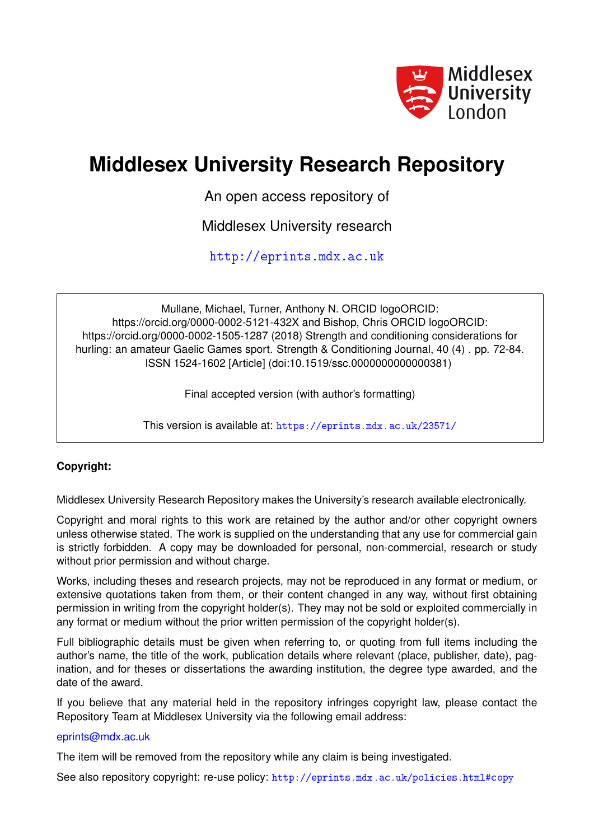

## **Middlesex University Research Repository**

An open access repository of

Middlesex University research

<http://eprints.mdx.ac.uk>

Mullane, Michael, Turner, Anthony N. ORCID logoORCID: https://orcid.org/0000-0002-5121-432X and Bishop, Chris ORCID logoORCID: https://orcid.org/0000-0002-1505-1287 (2018) Strength and conditioning considerations for hurling: an amateur Gaelic Games sport. Strength & Conditioning Journal, 40 (4) . pp. 72-84. ISSN 1524-1602 [Article] (doi:10.1519/ssc.0000000000000381)

Final accepted version (with author's formatting)

This version is available at: <https://eprints.mdx.ac.uk/23571/>

### **Copyright:**

Middlesex University Research Repository makes the University's research available electronically.

Copyright and moral rights to this work are retained by the author and/or other copyright owners unless otherwise stated. The work is supplied on the understanding that any use for commercial gain is strictly forbidden. A copy may be downloaded for personal, non-commercial, research or study without prior permission and without charge.

Works, including theses and research projects, may not be reproduced in any format or medium, or extensive quotations taken from them, or their content changed in any way, without first obtaining permission in writing from the copyright holder(s). They may not be sold or exploited commercially in any format or medium without the prior written permission of the copyright holder(s).

Full bibliographic details must be given when referring to, or quoting from full items including the author's name, the title of the work, publication details where relevant (place, publisher, date), pagination, and for theses or dissertations the awarding institution, the degree type awarded, and the date of the award.

If you believe that any material held in the repository infringes copyright law, please contact the Repository Team at Middlesex University via the following email address:

#### [eprints@mdx.ac.uk](mailto:eprints@mdx.ac.uk)

The item will be removed from the repository while any claim is being investigated.

See also repository copyright: re-use policy: <http://eprints.mdx.ac.uk/policies.html#copy>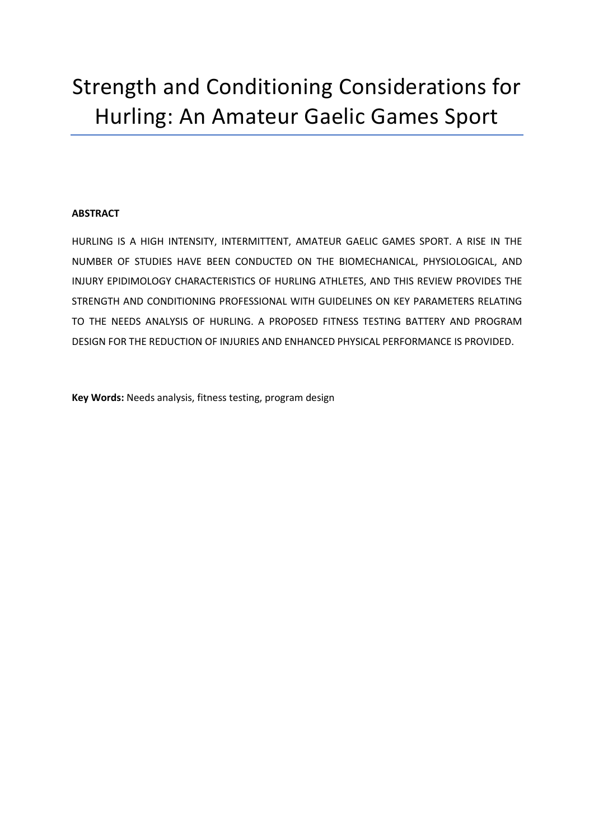# Strength and Conditioning Considerations for Hurling: An Amateur Gaelic Games Sport

#### **ABSTRACT**

HURLING IS A HIGH INTENSITY, INTERMITTENT, AMATEUR GAELIC GAMES SPORT. A RISE IN THE NUMBER OF STUDIES HAVE BEEN CONDUCTED ON THE BIOMECHANICAL, PHYSIOLOGICAL, AND INJURY EPIDIMOLOGY CHARACTERISTICS OF HURLING ATHLETES, AND THIS REVIEW PROVIDES THE STRENGTH AND CONDITIONING PROFESSIONAL WITH GUIDELINES ON KEY PARAMETERS RELATING TO THE NEEDS ANALYSIS OF HURLING. A PROPOSED FITNESS TESTING BATTERY AND PROGRAM DESIGN FOR THE REDUCTION OF INJURIES AND ENHANCED PHYSICAL PERFORMANCE IS PROVIDED.

**Key Words:** Needs analysis, fitness testing, program design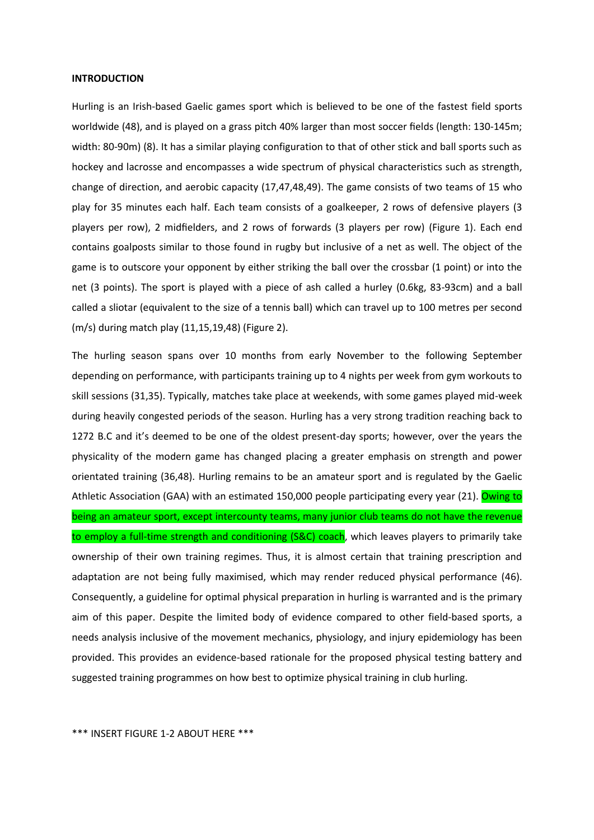#### **INTRODUCTION**

Hurling is an Irish-based Gaelic games sport which is believed to be one of the fastest field sports worldwide (48), and is played on a grass pitch 40% larger than most soccer fields (length: 130-145m; width: 80-90m) (8). It has a similar playing configuration to that of other stick and ball sports such as hockey and lacrosse and encompasses a wide spectrum of physical characteristics such as strength, change of direction, and aerobic capacity (17,47,48,49). The game consists of two teams of 15 who play for 35 minutes each half. Each team consists of a goalkeeper, 2 rows of defensive players (3 players per row), 2 midfielders, and 2 rows of forwards (3 players per row) (Figure 1). Each end contains goalposts similar to those found in rugby but inclusive of a net as well. The object of the game is to outscore your opponent by either striking the ball over the crossbar (1 point) or into the net (3 points). The sport is played with a piece of ash called a hurley (0.6kg, 83-93cm) and a ball called a sliotar (equivalent to the size of a tennis ball) which can travel up to 100 metres per second (m/s) during match play (11,15,19,48) (Figure 2).

The hurling season spans over 10 months from early November to the following September depending on performance, with participants training up to 4 nights per week from gym workouts to skill sessions (31,35). Typically, matches take place at weekends, with some games played mid-week during heavily congested periods of the season. Hurling has a very strong tradition reaching back to 1272 B.C and it's deemed to be one of the oldest present-day sports; however, over the years the physicality of the modern game has changed placing a greater emphasis on strength and power orientated training (36,48). Hurling remains to be an amateur sport and is regulated by the Gaelic Athletic Association (GAA) with an estimated 150,000 people participating every year (21). Owing to being an amateur sport, except intercounty teams, many junior club teams do not have the revenue to employ a full-time strength and conditioning (S&C) coach, which leaves players to primarily take ownership of their own training regimes. Thus, it is almost certain that training prescription and adaptation are not being fully maximised, which may render reduced physical performance (46). Consequently, a guideline for optimal physical preparation in hurling is warranted and is the primary aim of this paper. Despite the limited body of evidence compared to other field-based sports, a needs analysis inclusive of the movement mechanics, physiology, and injury epidemiology has been provided. This provides an evidence-based rationale for the proposed physical testing battery and suggested training programmes on how best to optimize physical training in club hurling.

\*\*\* INSERT FIGURE 1-2 ABOUT HERE \*\*\*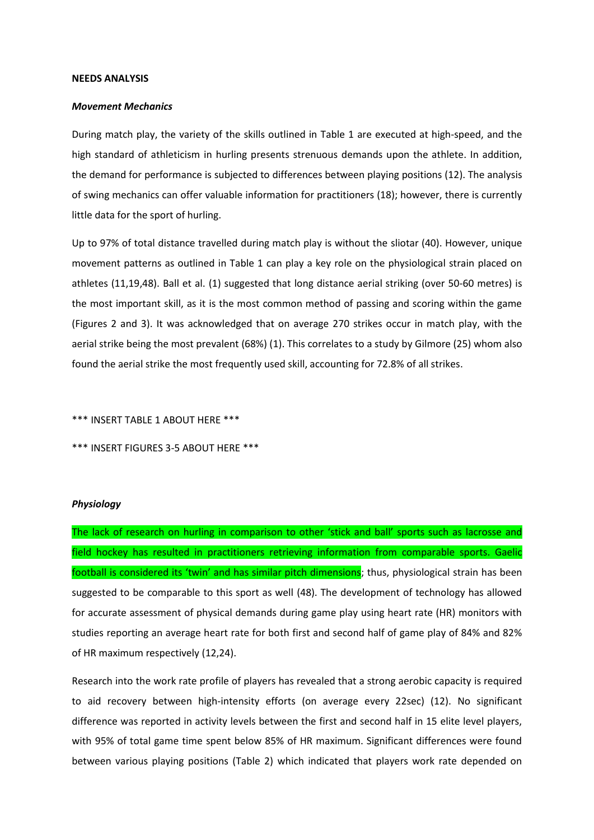#### **NEEDS ANALYSIS**

#### *Movement Mechanics*

During match play, the variety of the skills outlined in Table 1 are executed at high-speed, and the high standard of athleticism in hurling presents strenuous demands upon the athlete. In addition, the demand for performance is subjected to differences between playing positions (12). The analysis of swing mechanics can offer valuable information for practitioners (18); however, there is currently little data for the sport of hurling.

Up to 97% of total distance travelled during match play is without the sliotar (40). However, unique movement patterns as outlined in Table 1 can play a key role on the physiological strain placed on athletes (11,19,48). Ball et al. (1) suggested that long distance aerial striking (over 50-60 metres) is the most important skill, as it is the most common method of passing and scoring within the game (Figures 2 and 3). It was acknowledged that on average 270 strikes occur in match play, with the aerial strike being the most prevalent (68%) (1). This correlates to a study by Gilmore (25) whom also found the aerial strike the most frequently used skill, accounting for 72.8% of all strikes.

\*\*\* INSERT TABLE 1 ABOUT HERE \*\*\*

\*\*\* INSERT FIGURES 3-5 ABOUT HERE \*\*\*

#### *Physiology*

The lack of research on hurling in comparison to other 'stick and ball' sports such as lacrosse and field hockey has resulted in practitioners retrieving information from comparable sports. Gaelic football is considered its 'twin' and has similar pitch dimensions; thus, physiological strain has been suggested to be comparable to this sport as well (48). The development of technology has allowed for accurate assessment of physical demands during game play using heart rate (HR) monitors with studies reporting an average heart rate for both first and second half of game play of 84% and 82% of HR maximum respectively (12,24).

Research into the work rate profile of players has revealed that a strong aerobic capacity is required to aid recovery between high-intensity efforts (on average every 22sec) (12). No significant difference was reported in activity levels between the first and second half in 15 elite level players, with 95% of total game time spent below 85% of HR maximum. Significant differences were found between various playing positions (Table 2) which indicated that players work rate depended on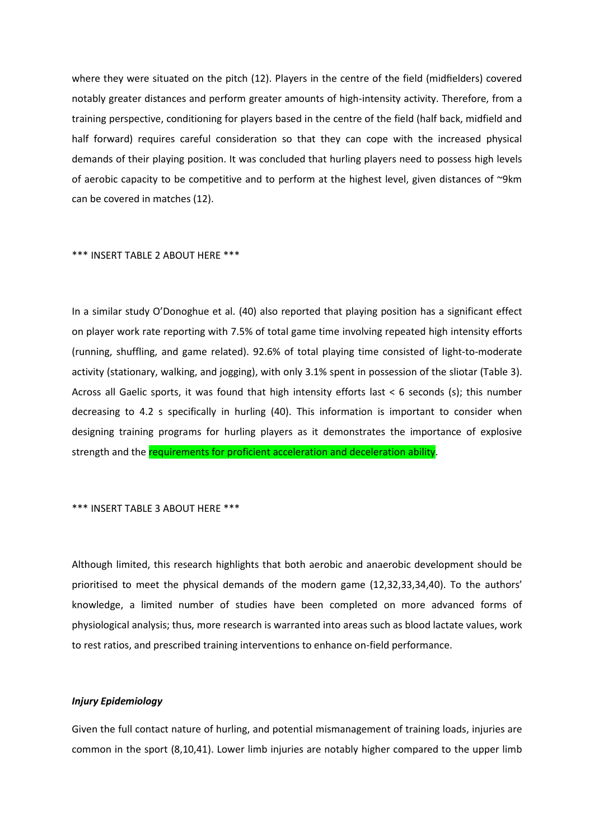where they were situated on the pitch (12). Players in the centre of the field (midfielders) covered notably greater distances and perform greater amounts of high-intensity activity. Therefore, from a training perspective, conditioning for players based in the centre of the field (half back, midfield and half forward) requires careful consideration so that they can cope with the increased physical demands of their playing position. It was concluded that hurling players need to possess high levels of aerobic capacity to be competitive and to perform at the highest level, given distances of ~9km can be covered in matches (12).

#### \*\*\* INSERT TABLE 2 ABOUT HERE \*\*\*

In a similar study O'Donoghue et al. (40) also reported that playing position has a significant effect on player work rate reporting with 7.5% of total game time involving repeated high intensity efforts (running, shuffling, and game related). 92.6% of total playing time consisted of light-to-moderate activity (stationary, walking, and jogging), with only 3.1% spent in possession of the sliotar (Table 3). Across all Gaelic sports, it was found that high intensity efforts last < 6 seconds (s); this number decreasing to 4.2 s specifically in hurling (40). This information is important to consider when designing training programs for hurling players as it demonstrates the importance of explosive strength and the requirements for proficient acceleration and deceleration ability.

#### \*\*\* INSERT TABLE 3 ABOUT HERE \*\*\*

Although limited, this research highlights that both aerobic and anaerobic development should be prioritised to meet the physical demands of the modern game (12,32,33,34,40). To the authors' knowledge, a limited number of studies have been completed on more advanced forms of physiological analysis; thus, more research is warranted into areas such as blood lactate values, work to rest ratios, and prescribed training interventions to enhance on-field performance.

#### *Injury Epidemiology*

Given the full contact nature of hurling, and potential mismanagement of training loads, injuries are common in the sport (8,10,41). Lower limb injuries are notably higher compared to the upper limb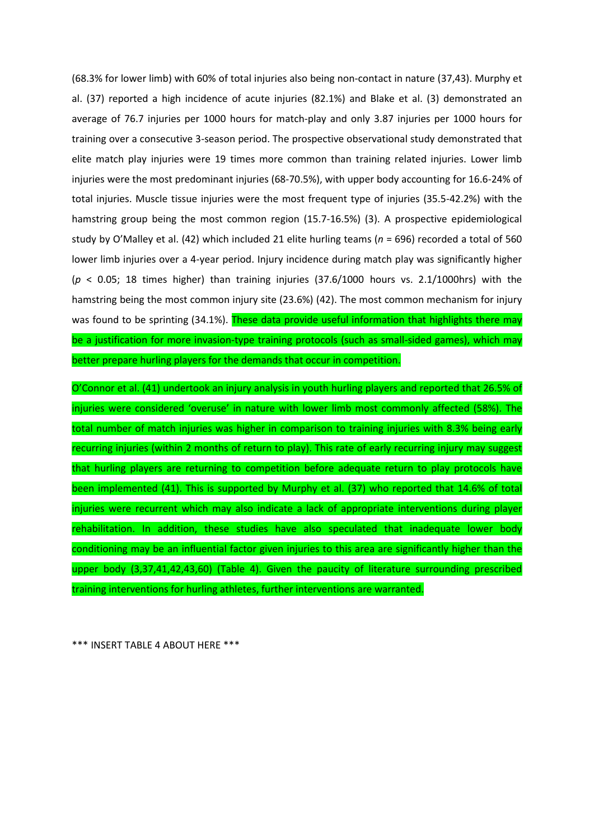(68.3% for lower limb) with 60% of total injuries also being non-contact in nature (37,43). Murphy et al. (37) reported a high incidence of acute injuries (82.1%) and Blake et al. (3) demonstrated an average of 76.7 injuries per 1000 hours for match-play and only 3.87 injuries per 1000 hours for training over a consecutive 3-season period. The prospective observational study demonstrated that elite match play injuries were 19 times more common than training related injuries. Lower limb injuries were the most predominant injuries (68-70.5%), with upper body accounting for 16.6-24% of total injuries. Muscle tissue injuries were the most frequent type of injuries (35.5-42.2%) with the hamstring group being the most common region (15.7-16.5%) (3). A prospective epidemiological study by O'Malley et al. (42) which included 21 elite hurling teams (*n* = 696) recorded a total of 560 lower limb injuries over a 4-year period. Injury incidence during match play was significantly higher (*p* < 0.05; 18 times higher) than training injuries (37.6/1000 hours vs. 2.1/1000hrs) with the hamstring being the most common injury site (23.6%) (42). The most common mechanism for injury was found to be sprinting (34.1%). These data provide useful information that highlights there may be a justification for more invasion-type training protocols (such as small-sided games), which may better prepare hurling players for the demands that occur in competition.

O'Connor et al. (41) undertook an injury analysis in youth hurling players and reported that 26.5% of injuries were considered 'overuse' in nature with lower limb most commonly affected (58%). The total number of match injuries was higher in comparison to training injuries with 8.3% being early recurring injuries (within 2 months of return to play). This rate of early recurring injury may suggest that hurling players are returning to competition before adequate return to play protocols have been implemented (41). This is supported by Murphy et al. (37) who reported that 14.6% of total injuries were recurrent which may also indicate a lack of appropriate interventions during player rehabilitation. In addition, these studies have also speculated that inadequate lower body conditioning may be an influential factor given injuries to this area are significantly higher than the upper body (3,37,41,42,43,60) (Table 4). Given the paucity of literature surrounding prescribed training interventions for hurling athletes, further interventions are warranted.

\*\*\* INSERT TABLE 4 ABOUT HERE \*\*\*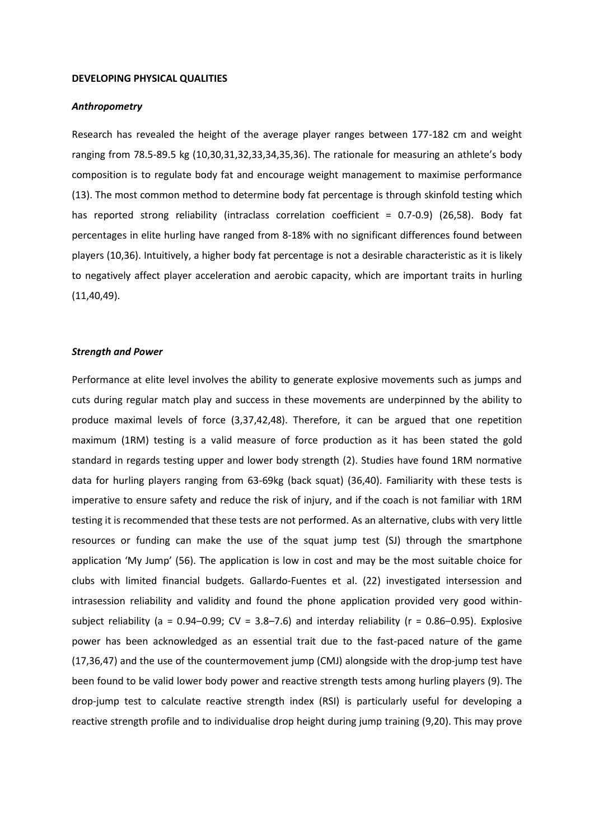#### **DEVELOPING PHYSICAL QUALITIES**

#### *Anthropometry*

Research has revealed the height of the average player ranges between 177-182 cm and weight ranging from 78.5-89.5 kg (10,30,31,32,33,34,35,36). The rationale for measuring an athlete's body composition is to regulate body fat and encourage weight management to maximise performance (13). The most common method to determine body fat percentage is through skinfold testing which has reported strong reliability (intraclass correlation coefficient = 0.7-0.9) (26,58). Body fat percentages in elite hurling have ranged from 8-18% with no significant differences found between players (10,36). Intuitively, a higher body fat percentage is not a desirable characteristic as it is likely to negatively affect player acceleration and aerobic capacity, which are important traits in hurling (11,40,49).

#### *Strength and Power*

Performance at elite level involves the ability to generate explosive movements such as jumps and cuts during regular match play and success in these movements are underpinned by the ability to produce maximal levels of force (3,37,42,48). Therefore, it can be argued that one repetition maximum (1RM) testing is a valid measure of force production as it has been stated the gold standard in regards testing upper and lower body strength (2). Studies have found 1RM normative data for hurling players ranging from 63-69kg (back squat) (36,40). Familiarity with these tests is imperative to ensure safety and reduce the risk of injury, and if the coach is not familiar with 1RM testing it is recommended that these tests are not performed. As an alternative, clubs with very little resources or funding can make the use of the squat jump test (SJ) through the smartphone application 'My Jump' (56). The application is low in cost and may be the most suitable choice for clubs with limited financial budgets. Gallardo-Fuentes et al. (22) investigated intersession and intrasession reliability and validity and found the phone application provided very good withinsubject reliability (a =  $0.94-0.99$ ; CV =  $3.8-7.6$ ) and interday reliability (r =  $0.86-0.95$ ). Explosive power has been acknowledged as an essential trait due to the fast-paced nature of the game (17,36,47) and the use of the countermovement jump (CMJ) alongside with the drop-jump test have been found to be valid lower body power and reactive strength tests among hurling players (9). The drop-jump test to calculate reactive strength index (RSI) is particularly useful for developing a reactive strength profile and to individualise drop height during jump training (9,20). This may prove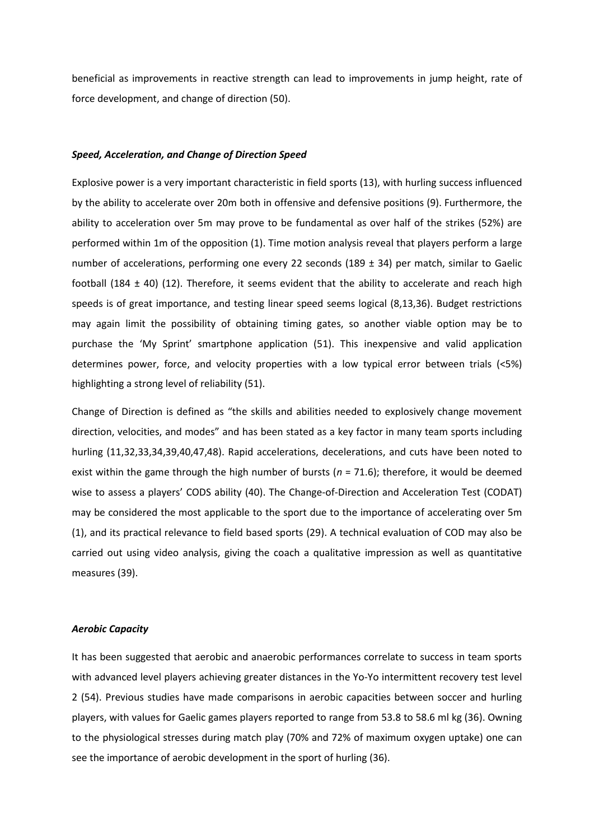beneficial as improvements in reactive strength can lead to improvements in jump height, rate of force development, and change of direction (50).

#### *Speed, Acceleration, and Change of Direction Speed*

Explosive power is a very important characteristic in field sports (13), with hurling success influenced by the ability to accelerate over 20m both in offensive and defensive positions (9). Furthermore, the ability to acceleration over 5m may prove to be fundamental as over half of the strikes (52%) are performed within 1m of the opposition (1). Time motion analysis reveal that players perform a large number of accelerations, performing one every 22 seconds (189 ± 34) per match, similar to Gaelic football (184  $\pm$  40) (12). Therefore, it seems evident that the ability to accelerate and reach high speeds is of great importance, and testing linear speed seems logical (8,13,36). Budget restrictions may again limit the possibility of obtaining timing gates, so another viable option may be to purchase the 'My Sprint' smartphone application (51). This inexpensive and valid application determines power, force, and velocity properties with a low typical error between trials (<5%) highlighting a strong level of reliability (51).

Change of Direction is defined as "the skills and abilities needed to explosively change movement direction, velocities, and modes" and has been stated as a key factor in many team sports including hurling (11,32,33,34,39,40,47,48). Rapid accelerations, decelerations, and cuts have been noted to exist within the game through the high number of bursts (*n* = 71.6); therefore, it would be deemed wise to assess a players' CODS ability (40). The Change-of-Direction and Acceleration Test (CODAT) may be considered the most applicable to the sport due to the importance of accelerating over 5m (1), and its practical relevance to field based sports (29). A technical evaluation of COD may also be carried out using video analysis, giving the coach a qualitative impression as well as quantitative measures (39).

#### *Aerobic Capacity*

It has been suggested that aerobic and anaerobic performances correlate to success in team sports with advanced level players achieving greater distances in the Yo-Yo intermittent recovery test level 2 (54). Previous studies have made comparisons in aerobic capacities between soccer and hurling players, with values for Gaelic games players reported to range from 53.8 to 58.6 ml kg (36). Owning to the physiological stresses during match play (70% and 72% of maximum oxygen uptake) one can see the importance of aerobic development in the sport of hurling (36).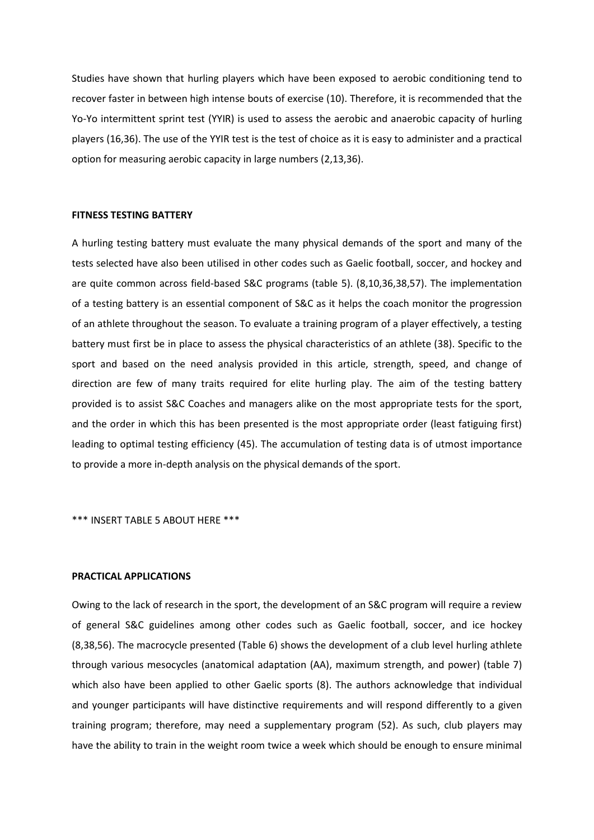Studies have shown that hurling players which have been exposed to aerobic conditioning tend to recover faster in between high intense bouts of exercise (10). Therefore, it is recommended that the Yo-Yo intermittent sprint test (YYIR) is used to assess the aerobic and anaerobic capacity of hurling players (16,36). The use of the YYIR test is the test of choice as it is easy to administer and a practical option for measuring aerobic capacity in large numbers (2,13,36).

#### **FITNESS TESTING BATTERY**

A hurling testing battery must evaluate the many physical demands of the sport and many of the tests selected have also been utilised in other codes such as Gaelic football, soccer, and hockey and are quite common across field-based S&C programs (table 5). (8,10,36,38,57). The implementation of a testing battery is an essential component of S&C as it helps the coach monitor the progression of an athlete throughout the season. To evaluate a training program of a player effectively, a testing battery must first be in place to assess the physical characteristics of an athlete (38). Specific to the sport and based on the need analysis provided in this article, strength, speed, and change of direction are few of many traits required for elite hurling play. The aim of the testing battery provided is to assist S&C Coaches and managers alike on the most appropriate tests for the sport, and the order in which this has been presented is the most appropriate order (least fatiguing first) leading to optimal testing efficiency (45). The accumulation of testing data is of utmost importance to provide a more in-depth analysis on the physical demands of the sport.

\*\*\* INSERT TABLE 5 ABOUT HERE \*\*\*

#### **PRACTICAL APPLICATIONS**

Owing to the lack of research in the sport, the development of an S&C program will require a review of general S&C guidelines among other codes such as Gaelic football, soccer, and ice hockey (8,38,56). The macrocycle presented (Table 6) shows the development of a club level hurling athlete through various mesocycles (anatomical adaptation (AA), maximum strength, and power) (table 7) which also have been applied to other Gaelic sports (8). The authors acknowledge that individual and younger participants will have distinctive requirements and will respond differently to a given training program; therefore, may need a supplementary program (52). As such, club players may have the ability to train in the weight room twice a week which should be enough to ensure minimal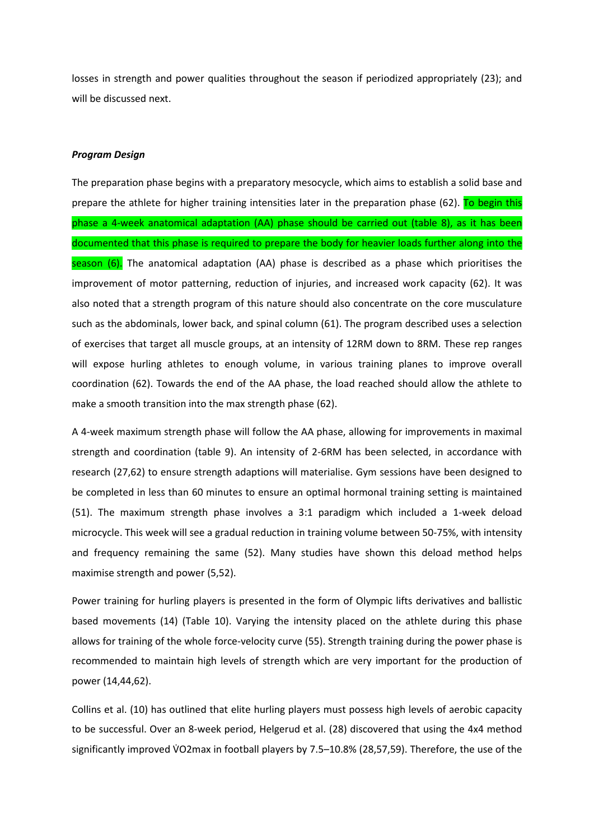losses in strength and power qualities throughout the season if periodized appropriately (23); and will be discussed next.

#### *Program Design*

The preparation phase begins with a preparatory mesocycle, which aims to establish a solid base and prepare the athlete for higher training intensities later in the preparation phase (62). To begin this phase a 4-week anatomical adaptation (AA) phase should be carried out (table 8), as it has been documented that this phase is required to prepare the body for heavier loads further along into the season  $(6)$ . The anatomical adaptation  $(AA)$  phase is described as a phase which prioritises the improvement of motor patterning, reduction of injuries, and increased work capacity (62). It was also noted that a strength program of this nature should also concentrate on the core musculature such as the abdominals, lower back, and spinal column (61). The program described uses a selection of exercises that target all muscle groups, at an intensity of 12RM down to 8RM. These rep ranges will expose hurling athletes to enough volume, in various training planes to improve overall coordination (62). Towards the end of the AA phase, the load reached should allow the athlete to make a smooth transition into the max strength phase (62).

A 4-week maximum strength phase will follow the AA phase, allowing for improvements in maximal strength and coordination (table 9). An intensity of 2-6RM has been selected, in accordance with research (27,62) to ensure strength adaptions will materialise. Gym sessions have been designed to be completed in less than 60 minutes to ensure an optimal hormonal training setting is maintained (51). The maximum strength phase involves a 3:1 paradigm which included a 1-week deload microcycle. This week will see a gradual reduction in training volume between 50-75%, with intensity and frequency remaining the same (52). Many studies have shown this deload method helps maximise strength and power (5,52).

Power training for hurling players is presented in the form of Olympic lifts derivatives and ballistic based movements (14) (Table 10). Varying the intensity placed on the athlete during this phase allows for training of the whole force-velocity curve (55). Strength training during the power phase is recommended to maintain high levels of strength which are very important for the production of power (14,44,62).

Collins et al. (10) has outlined that elite hurling players must possess high levels of aerobic capacity to be successful. Over an 8-week period, Helgerud et al. (28) discovered that using the 4x4 method significantly improved V̇O2max in football players by 7.5–10.8% (28,57,59). Therefore, the use of the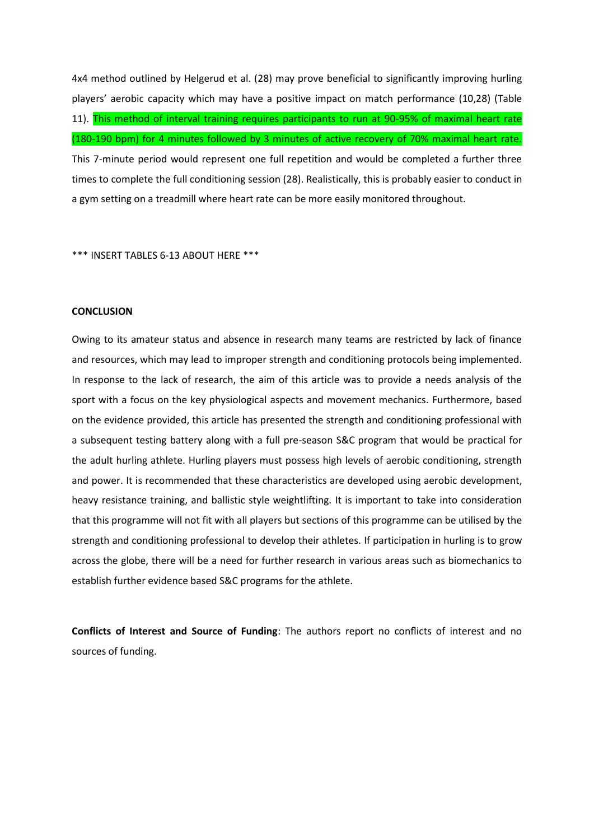4x4 method outlined by Helgerud et al. (28) may prove beneficial to significantly improving hurling players' aerobic capacity which may have a positive impact on match performance (10,28) (Table 11). This method of interval training requires participants to run at 90-95% of maximal heart rate (180-190 bpm) for 4 minutes followed by 3 minutes of active recovery of 70% maximal heart rate. This 7-minute period would represent one full repetition and would be completed a further three times to complete the full conditioning session (28). Realistically, this is probably easier to conduct in a gym setting on a treadmill where heart rate can be more easily monitored throughout.

\*\*\* INSERT TABLES 6-13 ABOUT HERE \*\*\*

#### **CONCLUSION**

Owing to its amateur status and absence in research many teams are restricted by lack of finance and resources, which may lead to improper strength and conditioning protocols being implemented. In response to the lack of research, the aim of this article was to provide a needs analysis of the sport with a focus on the key physiological aspects and movement mechanics. Furthermore, based on the evidence provided, this article has presented the strength and conditioning professional with a subsequent testing battery along with a full pre-season S&C program that would be practical for the adult hurling athlete. Hurling players must possess high levels of aerobic conditioning, strength and power. It is recommended that these characteristics are developed using aerobic development, heavy resistance training, and ballistic style weightlifting. It is important to take into consideration that this programme will not fit with all players but sections of this programme can be utilised by the strength and conditioning professional to develop their athletes. If participation in hurling is to grow across the globe, there will be a need for further research in various areas such as biomechanics to establish further evidence based S&C programs for the athlete.

**Conflicts of Interest and Source of Funding**: The authors report no conflicts of interest and no sources of funding.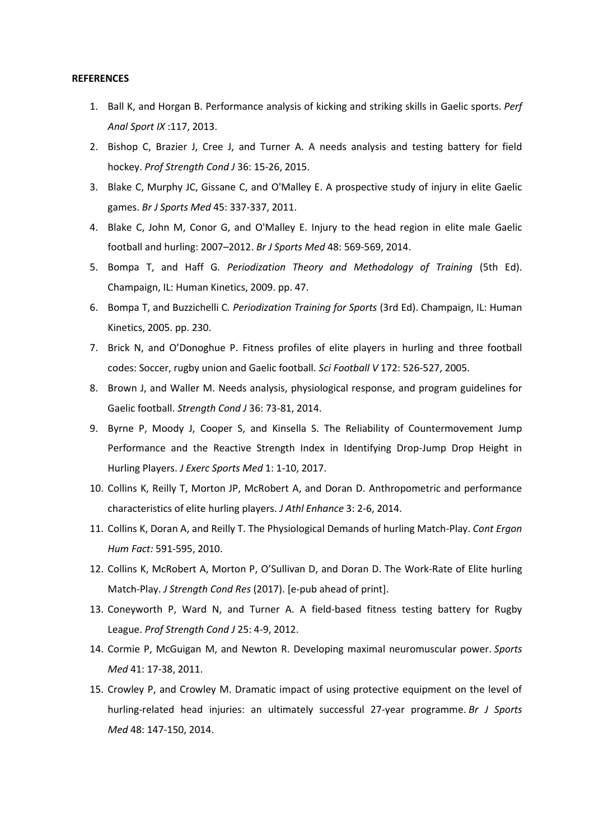#### **REFERENCES**

- 1. Ball K, and Horgan B. Performance analysis of kicking and striking skills in Gaelic sports. *Perf Anal Sport IX* :117, 2013.
- 2. Bishop C, Brazier J, Cree J, and Turner A. A needs analysis and testing battery for field hockey. *Prof Strength Cond J* 36: 15-26, 2015.
- 3. Blake C, Murphy JC, Gissane C, and O'Malley E. A prospective study of injury in elite Gaelic games. *Br J Sports Med* 45: 337-337, 2011.
- 4. Blake C, John M, Conor G, and O'Malley E. Injury to the head region in elite male Gaelic football and hurling: 2007–2012. *Br J Sports Med* 48: 569-569, 2014.
- 5. Bompa T, and Haff G*. Periodization Theory and Methodology of Training* (5th Ed). Champaign, IL: Human Kinetics, 2009. pp. 47.
- 6. Bompa T, and Buzzichelli C*. Periodization Training for Sports* (3rd Ed). Champaign, IL: Human Kinetics, 2005. pp. 230.
- 7. Brick N, and O'Donoghue P. Fitness profiles of elite players in hurling and three football codes: Soccer, rugby union and Gaelic football. *Sci Football V* 172: 526-527, 2005.
- 8. Brown J, and Waller M. Needs analysis, physiological response, and program guidelines for Gaelic football. *Strength Cond J* 36: 73-81, 2014.
- 9. Byrne P, Moody J, Cooper S, and Kinsella S. The Reliability of Countermovement Jump Performance and the Reactive Strength Index in Identifying Drop-Jump Drop Height in Hurling Players. *J Exerc Sports Med* 1: 1-10, 2017.
- 10. Collins K, Reilly T, Morton JP, McRobert A, and Doran D. Anthropometric and performance characteristics of elite hurling players. *J Athl Enhance* 3: 2-6, 2014.
- 11. Collins K, Doran A, and Reilly T. The Physiological Demands of hurling Match-Play. *Cont Ergon Hum Fact:* 591-595, 2010.
- 12. Collins K, McRobert A, Morton P, O'Sullivan D, and Doran D. The Work-Rate of Elite hurling Match-Play. *J Strength Cond Res* (2017). [e-pub ahead of print].
- 13. Coneyworth P, Ward N, and Turner A. A field-based fitness testing battery for Rugby League. *Prof Strength Cond J* 25: 4-9, 2012.
- 14. Cormie P, McGuigan M, and Newton R. Developing maximal neuromuscular power. *Sports Med* 41: 17-38, 2011.
- 15. Crowley P, and Crowley M. Dramatic impact of using protective equipment on the level of hurling-related head injuries: an ultimately successful 27-year programme. *Br J Sports Med* 48: 147-150, 2014.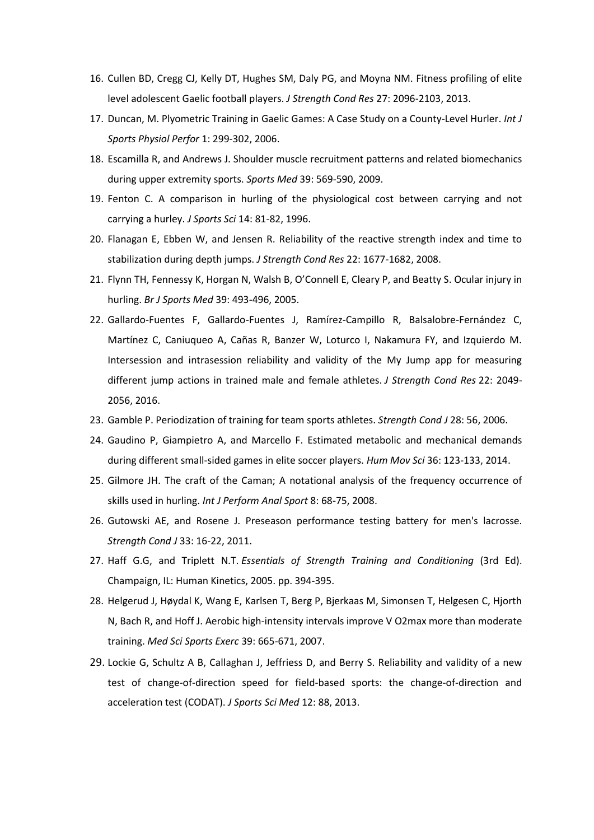- 16. Cullen BD, Cregg CJ, Kelly DT, Hughes SM, Daly PG, and Moyna NM. Fitness profiling of elite level adolescent Gaelic football players. *J Strength Cond Res* 27: 2096-2103, 2013.
- 17. Duncan, M. Plyometric Training in Gaelic Games: A Case Study on a County-Level Hurler. *Int J Sports Physiol Perfor* 1: 299-302, 2006.
- 18. Escamilla R, and Andrews J. Shoulder muscle recruitment patterns and related biomechanics during upper extremity sports. *Sports Med* 39: 569-590, 2009.
- 19. Fenton C. A comparison in hurling of the physiological cost between carrying and not carrying a hurley. *J Sports Sci* 14: 81-82, 1996.
- 20. Flanagan E, Ebben W, and Jensen R. Reliability of the reactive strength index and time to stabilization during depth jumps. *J Strength Cond Res* 22: 1677-1682, 2008.
- 21. Flynn TH, Fennessy K, Horgan N, Walsh B, O'Connell E, Cleary P, and Beatty S. Ocular injury in hurling. *Br J Sports Med* 39: 493-496, 2005.
- 22. Gallardo-Fuentes F, Gallardo-Fuentes J, Ramírez-Campillo R, Balsalobre-Fernández C, Martínez C, Caniuqueo A, Cañas R, Banzer W, Loturco I, Nakamura FY, and Izquierdo M. Intersession and intrasession reliability and validity of the My Jump app for measuring different jump actions in trained male and female athletes. *J Strength Cond Res* 22: 2049- 2056, 2016.
- 23. Gamble P. Periodization of training for team sports athletes. *Strength Cond J* 28: 56, 2006.
- 24. Gaudino P, Giampietro A, and Marcello F. Estimated metabolic and mechanical demands during different small-sided games in elite soccer players. *Hum Mov Sci* 36: 123-133, 2014.
- 25. Gilmore JH. The craft of the Caman; A notational analysis of the frequency occurrence of skills used in hurling. *Int J Perform Anal Sport* 8: 68-75, 2008.
- 26. Gutowski AE, and Rosene J. Preseason performance testing battery for men's lacrosse. *Strength Cond J* 33: 16-22, 2011.
- 27. Haff G.G, and Triplett N.T. *Essentials of Strength Training and Conditioning* (3rd Ed). Champaign, IL: Human Kinetics, 2005. pp. 394-395.
- 28. Helgerud J, Høydal K, Wang E, Karlsen T, Berg P, Bjerkaas M, Simonsen T, Helgesen C, Hjorth N, Bach R, and Hoff J. Aerobic high-intensity intervals improve V O2max more than moderate training. *Med Sci Sports Exerc* 39: 665-671, 2007.
- 29. Lockie G, Schultz A B, Callaghan J, Jeffriess D, and Berry S. Reliability and validity of a new test of change-of-direction speed for field-based sports: the change-of-direction and acceleration test (CODAT). *J Sports Sci Med* 12: 88, 2013.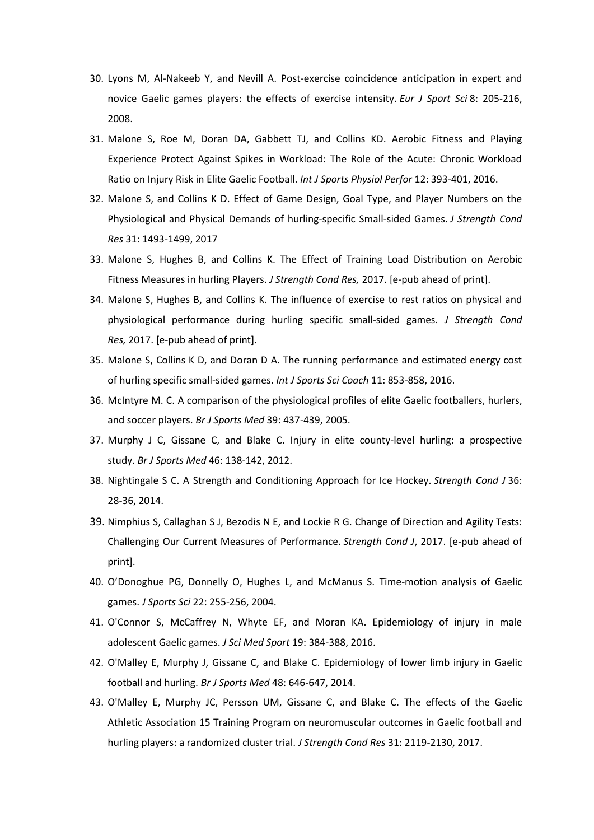- 30. Lyons M, Al-Nakeeb Y, and Nevill A. Post-exercise coincidence anticipation in expert and novice Gaelic games players: the effects of exercise intensity. *Eur J Sport Sci* 8: 205-216, 2008.
- 31. Malone S, Roe M, Doran DA, Gabbett TJ, and Collins KD. Aerobic Fitness and Playing Experience Protect Against Spikes in Workload: The Role of the Acute: Chronic Workload Ratio on Injury Risk in Elite Gaelic Football. *Int J Sports Physiol Perfor* 12: 393-401, 2016.
- 32. Malone S, and Collins K D. Effect of Game Design, Goal Type, and Player Numbers on the Physiological and Physical Demands of hurling-specific Small-sided Games. *J Strength Cond Res* 31: 1493-1499, 2017
- 33. Malone S, Hughes B, and Collins K. The Effect of Training Load Distribution on Aerobic Fitness Measures in hurling Players. *J Strength Cond Res,* 2017. [e-pub ahead of print].
- 34. Malone S, Hughes B, and Collins K. The influence of exercise to rest ratios on physical and physiological performance during hurling specific small-sided games. *J Strength Cond Res,* 2017. [e-pub ahead of print].
- 35. Malone S, Collins K D, and Doran D A. The running performance and estimated energy cost of hurling specific small-sided games. *Int J Sports Sci Coach* 11: 853-858, 2016.
- 36. McIntyre M. C. A comparison of the physiological profiles of elite Gaelic footballers, hurlers, and soccer players. *Br J Sports Med* 39: 437-439, 2005.
- 37. Murphy J C, Gissane C, and Blake C. Injury in elite county-level hurling: a prospective study. *Br J Sports Med* 46: 138-142, 2012.
- 38. Nightingale S C. A Strength and Conditioning Approach for Ice Hockey. *Strength Cond J* 36: 28-36, 2014.
- 39. Nimphius S, Callaghan S J, Bezodis N E, and Lockie R G. Change of Direction and Agility Tests: Challenging Our Current Measures of Performance. *Strength Cond J*, 2017. [e-pub ahead of print].
- 40. O'Donoghue PG, Donnelly O, Hughes L, and McManus S. Time-motion analysis of Gaelic games. *J Sports Sci* 22: 255-256, 2004.
- 41. O'Connor S, McCaffrey N, Whyte EF, and Moran KA. Epidemiology of injury in male adolescent Gaelic games. *J Sci Med Sport* 19: 384-388, 2016.
- 42. O'Malley E, Murphy J, Gissane C, and Blake C. Epidemiology of lower limb injury in Gaelic football and hurling. *Br J Sports Med* 48: 646-647, 2014.
- 43. O'Malley E, Murphy JC, Persson UM, Gissane C, and Blake C. The effects of the Gaelic Athletic Association 15 Training Program on neuromuscular outcomes in Gaelic football and hurling players: a randomized cluster trial. *J Strength Cond Res* 31: 2119-2130, 2017.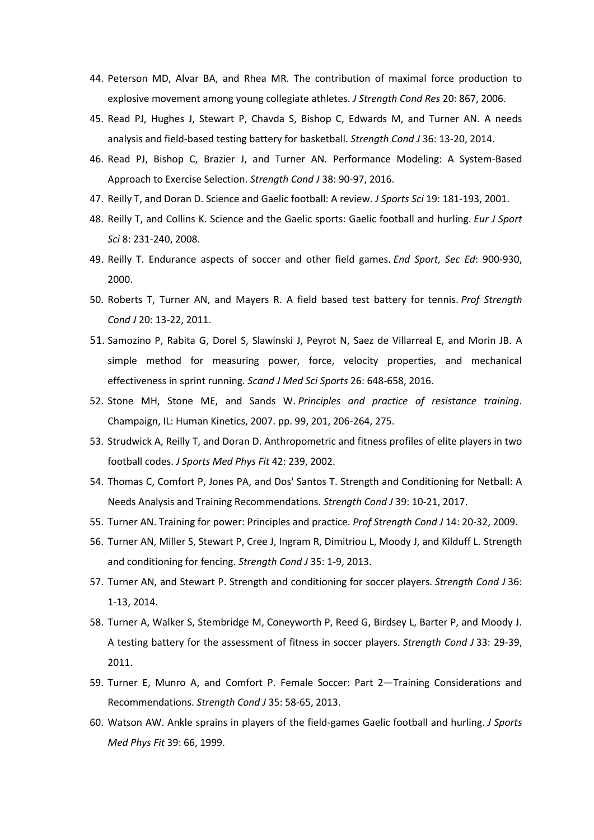- 44. Peterson MD, Alvar BA, and Rhea MR. The contribution of maximal force production to explosive movement among young collegiate athletes. *J Strength Cond Res* 20: 867, 2006.
- 45. Read PJ, Hughes J, Stewart P, Chavda S, Bishop C, Edwards M, and Turner AN. A needs analysis and field-based testing battery for basketball. *Strength Cond J* 36: 13-20, 2014.
- 46. Read PJ, Bishop C, Brazier J, and Turner AN. Performance Modeling: A System-Based Approach to Exercise Selection. *Strength Cond J* 38: 90-97, 2016.
- 47. Reilly T, and Doran D. Science and Gaelic football: A review. *J Sports Sci* 19: 181-193, 2001.
- 48. Reilly T, and Collins K. Science and the Gaelic sports: Gaelic football and hurling. *Eur J Sport Sci* 8: 231-240, 2008.
- 49. Reilly T. Endurance aspects of soccer and other field games. *End Sport, Sec Ed*: 900-930, 2000.
- 50. Roberts T, Turner AN, and Mayers R. A field based test battery for tennis. *Prof Strength Cond J* 20: 13-22, 2011.
- 51. Samozino P, Rabita G, Dorel S, Slawinski J, Peyrot N, Saez de Villarreal E, and Morin JB. A simple method for measuring power, force, velocity properties, and mechanical effectiveness in sprint running*. Scand J Med Sci Sports* 26: 648-658, 2016.
- 52. Stone MH, Stone ME, and Sands W. *Principles and practice of resistance training*. Champaign, IL: Human Kinetics, 2007. pp. 99, 201, 206-264, 275.
- 53. Strudwick A, Reilly T, and Doran D. Anthropometric and fitness profiles of elite players in two football codes. *J Sports Med Phys Fit* 42: 239, 2002.
- 54. Thomas C, Comfort P, Jones PA, and Dos' Santos T. Strength and Conditioning for Netball: A Needs Analysis and Training Recommendations. *Strength Cond J* 39: 10-21, 2017.
- 55. Turner AN. Training for power: Principles and practice. *Prof Strength Cond J* 14: 20-32, 2009.
- 56. Turner AN, Miller S, Stewart P, Cree J, Ingram R, Dimitriou L, Moody J, and Kilduff L. Strength and conditioning for fencing. *Strength Cond J* 35: 1-9, 2013.
- 57. Turner AN, and Stewart P. Strength and conditioning for soccer players. *Strength Cond J* 36: 1-13, 2014.
- 58. Turner A, Walker S, Stembridge M, Coneyworth P, Reed G, Birdsey L, Barter P, and Moody J. A testing battery for the assessment of fitness in soccer players. *Strength Cond J* 33: 29-39, 2011.
- 59. Turner E, Munro A, and Comfort P. Female Soccer: Part 2—Training Considerations and Recommendations. *Strength Cond J* 35: 58-65, 2013.
- 60. Watson AW. Ankle sprains in players of the field-games Gaelic football and hurling. *J Sports Med Phys Fit* 39: 66, 1999.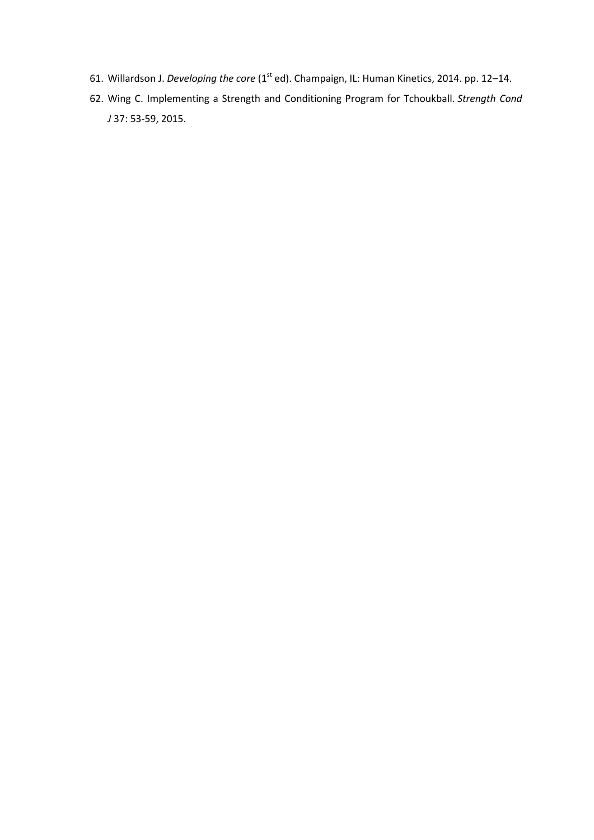- 61. Willardson J. *Developing the core* (1<sup>st</sup> ed). Champaign, IL: Human Kinetics, 2014. pp. 12–14.
- 62. Wing C. Implementing a Strength and Conditioning Program for Tchoukball. *Strength Cond J* 37: 53-59, 2015.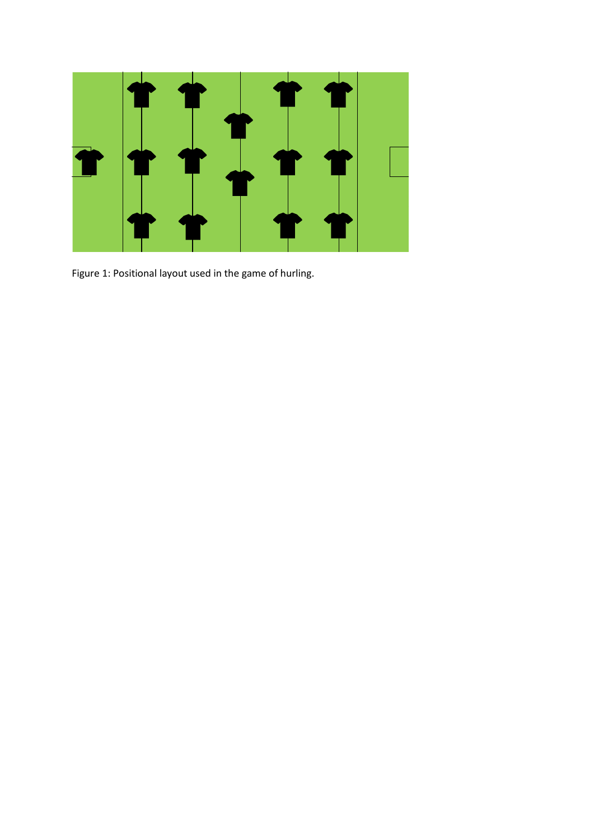

Figure 1: Positional layout used in the game of hurling.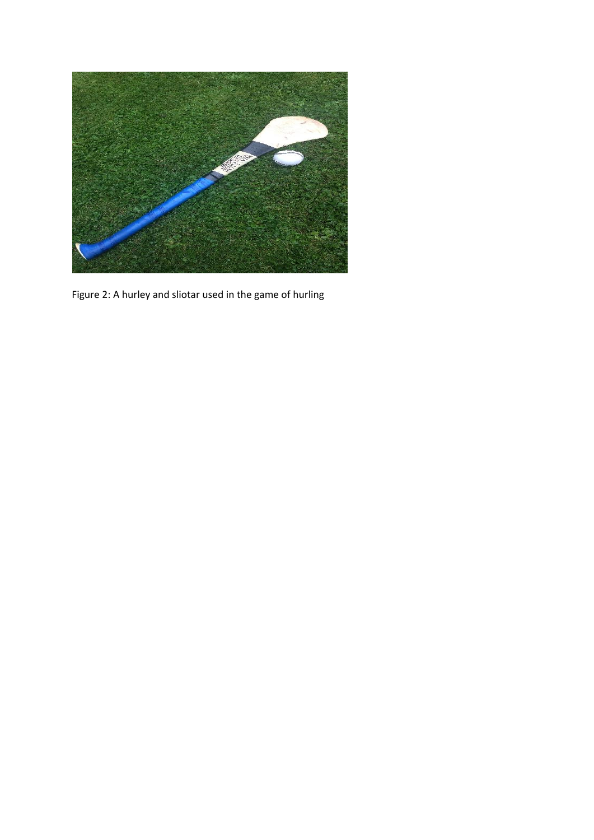

Figure 2: A hurley and sliotar used in the game of hurling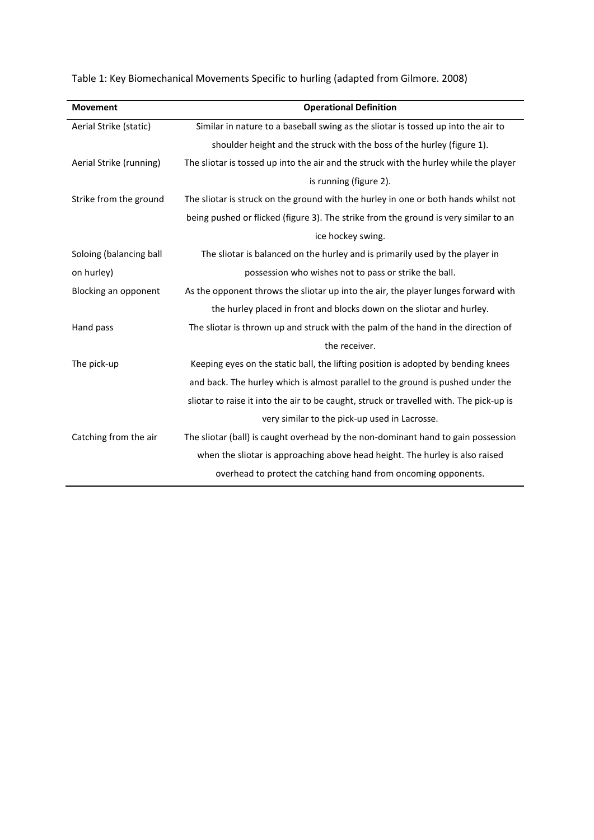Table 1: Key Biomechanical Movements Specific to hurling (adapted from Gilmore. 2008)

| <b>Movement</b>         | <b>Operational Definition</b>                                                           |
|-------------------------|-----------------------------------------------------------------------------------------|
| Aerial Strike (static)  | Similar in nature to a baseball swing as the sliotar is tossed up into the air to       |
|                         | shoulder height and the struck with the boss of the hurley (figure 1).                  |
| Aerial Strike (running) | The sliotar is tossed up into the air and the struck with the hurley while the player   |
|                         | is running (figure 2).                                                                  |
| Strike from the ground  | The sliotar is struck on the ground with the hurley in one or both hands whilst not     |
|                         | being pushed or flicked (figure 3). The strike from the ground is very similar to an    |
|                         | ice hockey swing.                                                                       |
| Soloing (balancing ball | The sliotar is balanced on the hurley and is primarily used by the player in            |
| on hurley)              | possession who wishes not to pass or strike the ball.                                   |
| Blocking an opponent    | As the opponent throws the sliotar up into the air, the player lunges forward with      |
|                         | the hurley placed in front and blocks down on the sliotar and hurley.                   |
| Hand pass               | The sliotar is thrown up and struck with the palm of the hand in the direction of       |
|                         | the receiver.                                                                           |
| The pick-up             | Keeping eyes on the static ball, the lifting position is adopted by bending knees       |
|                         | and back. The hurley which is almost parallel to the ground is pushed under the         |
|                         | sliotar to raise it into the air to be caught, struck or travelled with. The pick-up is |
|                         | very similar to the pick-up used in Lacrosse.                                           |
| Catching from the air   | The sliotar (ball) is caught overhead by the non-dominant hand to gain possession       |
|                         | when the sliotar is approaching above head height. The hurley is also raised            |
|                         | overhead to protect the catching hand from oncoming opponents.                          |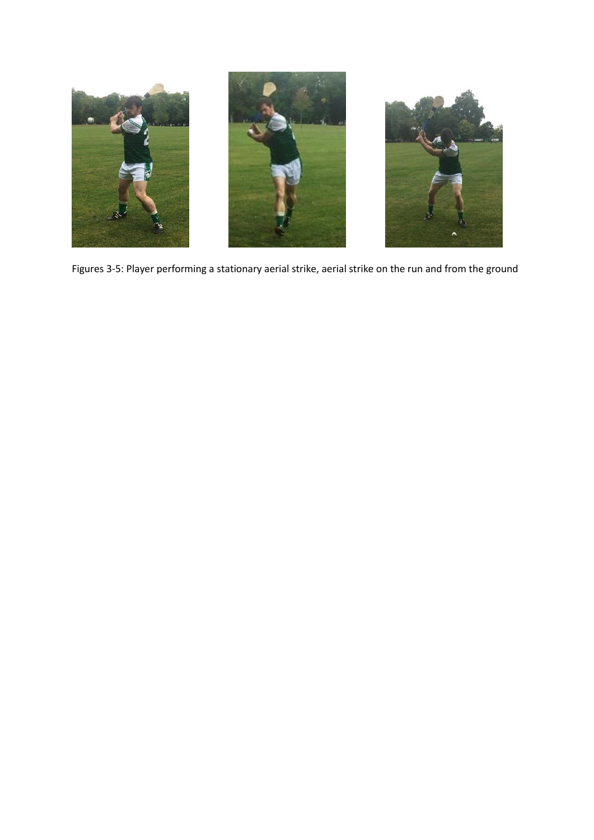

Figures 3-5: Player performing a stationary aerial strike, aerial strike on the run and from the ground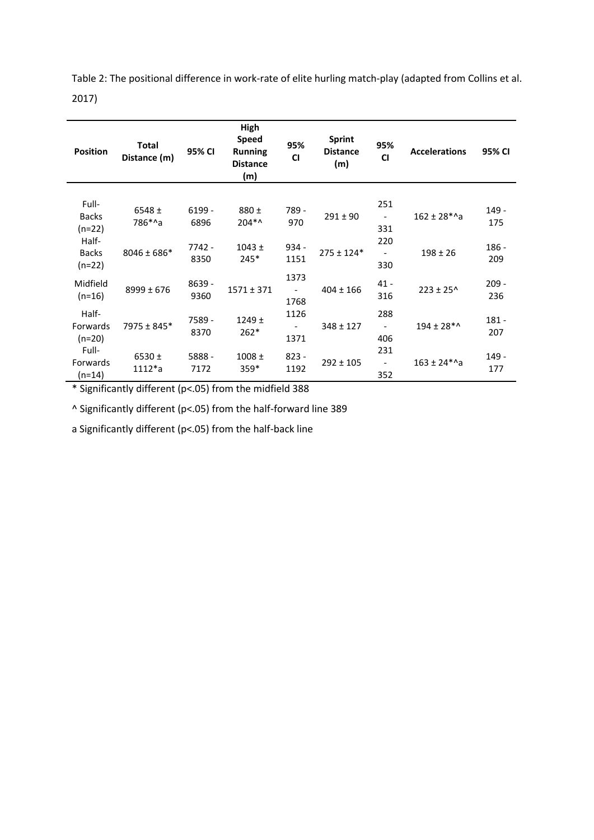Table 2: The positional difference in work-rate of elite hurling match-play (adapted from Collins et al. 2017)

| <b>Position</b>                   | <b>Total</b><br>Distance (m) | 95% CI           | High<br><b>Speed</b><br><b>Running</b><br><b>Distance</b><br>(m) | 95%<br><b>CI</b>                         | <b>Sprint</b><br><b>Distance</b><br>(m) | 95%<br><b>CI</b>                       | <b>Accelerations</b> | 95% CI         |
|-----------------------------------|------------------------------|------------------|------------------------------------------------------------------|------------------------------------------|-----------------------------------------|----------------------------------------|----------------------|----------------|
| Full-<br><b>Backs</b><br>$(n=22)$ | $6548 \pm$<br>786*^a         | $6199 -$<br>6896 | $880 +$<br>$204**$                                               | 789 -<br>970                             | $291 \pm 90$                            | 251<br>$\overline{\phantom{a}}$<br>331 | $162 \pm 28$ *^a     | 149 -<br>175   |
| Half-<br><b>Backs</b><br>$(n=22)$ | $8046 \pm 686*$              | 7742 -<br>8350   | $1043 \pm$<br>$245*$                                             | $934 -$<br>1151                          | $275 \pm 124*$                          | 220<br>330                             | $198 \pm 26$         | $186 -$<br>209 |
| Midfield<br>$(n=16)$              | $8999 \pm 676$               | 8639 -<br>9360   | $1571 \pm 371$                                                   | 1373<br>1768                             | $404 \pm 166$                           | $41 -$<br>316                          | $223 \pm 25^{\circ}$ | $209 -$<br>236 |
| Half-<br>Forwards<br>$(n=20)$     | 7975 ± 845*                  | 7589 -<br>8370   | 1249±<br>$262*$                                                  | 1126<br>$\overline{\phantom{a}}$<br>1371 | $348 \pm 127$                           | 288<br>$\overline{\phantom{a}}$<br>406 | $194 \pm 28$ *^      | $181 -$<br>207 |
| Full-<br>Forwards<br>$(n=14)$     | 6530 $±$<br>$1112^*a$        | 5888 -<br>7172   | $1008 \pm$<br>$359*$                                             | $823 -$<br>1192                          | $292 \pm 105$                           | 231<br>$\overline{\phantom{a}}$<br>352 | $163 \pm 24$ *^a     | 149 -<br>177   |

\* Significantly different (p<.05) from the midfield 388

^ Significantly different (p<.05) from the half-forward line 389

a Significantly different (p<.05) from the half-back line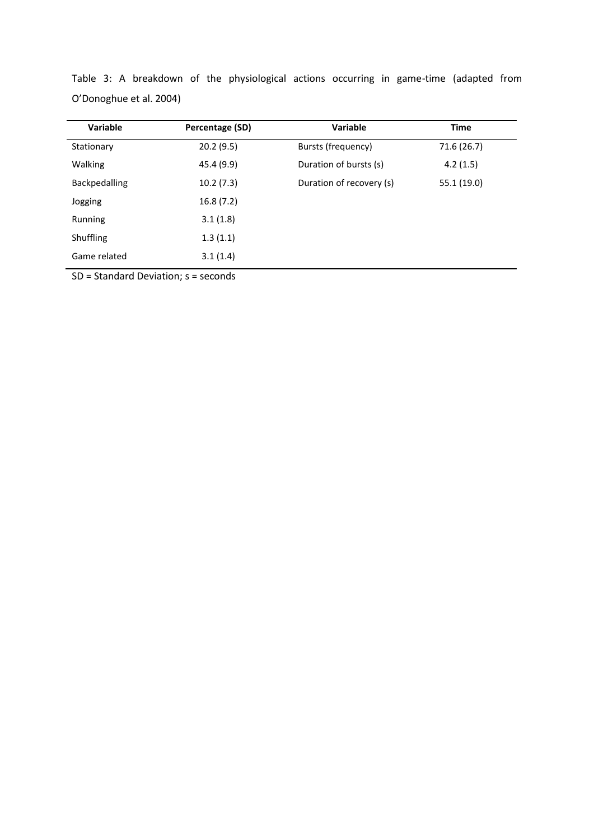| Variable         | Percentage (SD) | <b>Variable</b>          | <b>Time</b> |  |
|------------------|-----------------|--------------------------|-------------|--|
| Stationary       | 20.2(9.5)       | Bursts (frequency)       | 71.6 (26.7) |  |
| <b>Walking</b>   | 45.4 (9.9)      | Duration of bursts (s)   | 4.2(1.5)    |  |
| Backpedalling    | 10.2(7.3)       | Duration of recovery (s) | 55.1 (19.0) |  |
| Jogging          | 16.8(7.2)       |                          |             |  |
| Running          | 3.1(1.8)        |                          |             |  |
| <b>Shuffling</b> | 1.3(1.1)        |                          |             |  |
| Game related     | 3.1(1.4)        |                          |             |  |

Table 3: A breakdown of the physiological actions occurring in game-time (adapted from O'Donoghue et al. 2004)

SD = Standard Deviation; s = seconds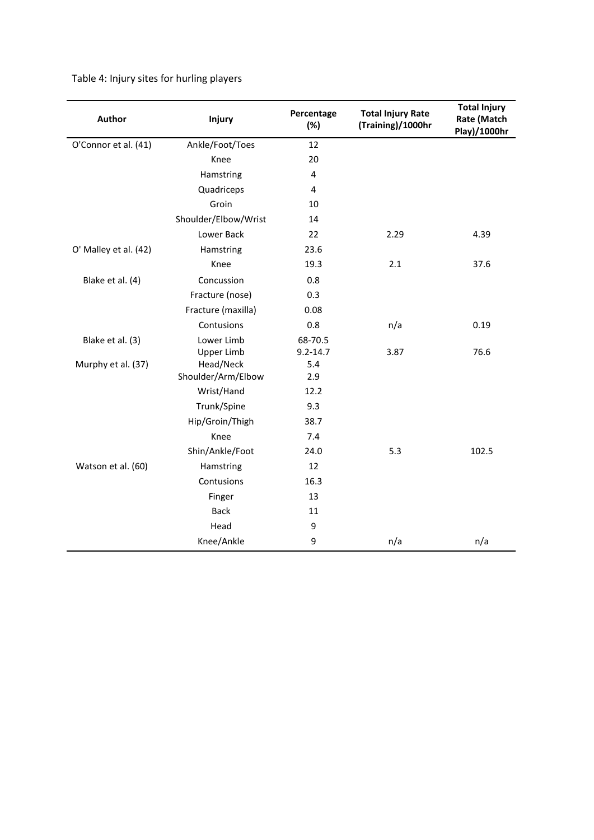Table 4: Injury sites for hurling players

| <b>Author</b>         | Injury                          | Percentage<br>(%)       | <b>Total Injury Rate</b><br>(Training)/1000hr | <b>Total Injury</b><br><b>Rate (Match</b><br>Play)/1000hr |  |
|-----------------------|---------------------------------|-------------------------|-----------------------------------------------|-----------------------------------------------------------|--|
| O'Connor et al. (41)  | Ankle/Foot/Toes                 | 12                      |                                               |                                                           |  |
|                       | Knee                            | 20                      |                                               |                                                           |  |
|                       | Hamstring                       | 4                       |                                               |                                                           |  |
|                       | Quadriceps                      | 4                       |                                               |                                                           |  |
|                       | Groin                           | 10                      |                                               |                                                           |  |
|                       | Shoulder/Elbow/Wrist            | 14                      |                                               |                                                           |  |
|                       | Lower Back                      | 22                      | 2.29                                          | 4.39                                                      |  |
| O' Malley et al. (42) | Hamstring                       | 23.6                    |                                               |                                                           |  |
|                       | Knee                            | 19.3                    | 2.1                                           | 37.6                                                      |  |
| Blake et al. (4)      | Concussion                      | 0.8                     |                                               |                                                           |  |
|                       | Fracture (nose)                 | 0.3                     |                                               |                                                           |  |
|                       | Fracture (maxilla)              | 0.08                    |                                               |                                                           |  |
|                       | Contusions                      | 0.8                     | n/a                                           | 0.19                                                      |  |
| Blake et al. (3)      | Lower Limb<br><b>Upper Limb</b> | 68-70.5<br>$9.2 - 14.7$ | 3.87                                          | 76.6                                                      |  |
| Murphy et al. (37)    | Head/Neck<br>Shoulder/Arm/Elbow | 5.4<br>2.9              |                                               |                                                           |  |
|                       | Wrist/Hand                      | 12.2                    |                                               |                                                           |  |
|                       | Trunk/Spine                     | 9.3                     |                                               |                                                           |  |
|                       | Hip/Groin/Thigh                 | 38.7                    |                                               |                                                           |  |
|                       | Knee                            | 7.4                     |                                               |                                                           |  |
|                       | Shin/Ankle/Foot                 | 24.0                    | 5.3                                           | 102.5                                                     |  |
| Watson et al. (60)    | Hamstring                       | 12                      |                                               |                                                           |  |
|                       | Contusions                      | 16.3                    |                                               |                                                           |  |
|                       | Finger                          | 13                      |                                               |                                                           |  |
|                       | <b>Back</b>                     | 11                      |                                               |                                                           |  |
|                       | Head                            | 9                       |                                               |                                                           |  |
|                       | Knee/Ankle                      | 9                       | n/a                                           | n/a                                                       |  |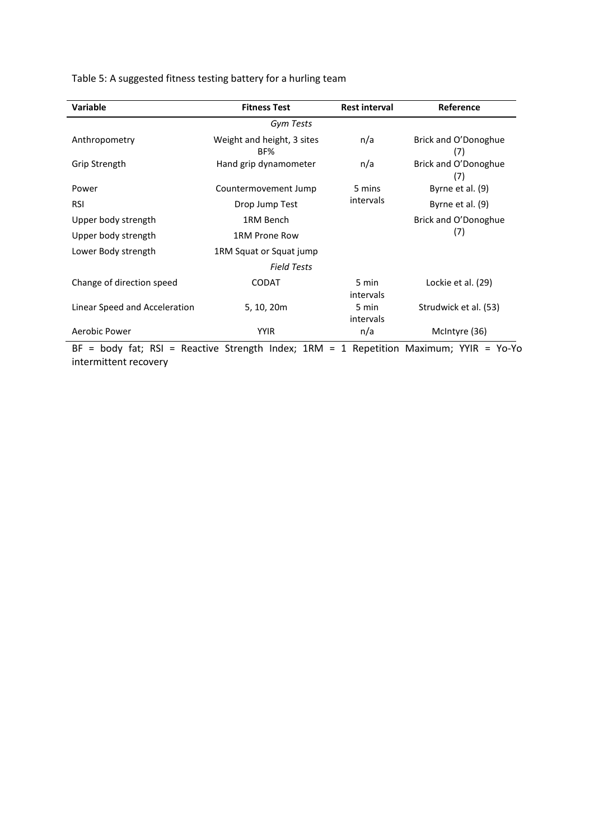Table 5: A suggested fitness testing battery for a hurling team

| <b>Variable</b>               | <b>Fitness Test</b>               | <b>Rest interval</b> | <b>Reference</b>            |
|-------------------------------|-----------------------------------|----------------------|-----------------------------|
|                               | Gym Tests                         |                      |                             |
| Anthropometry                 | Weight and height, 3 sites<br>BF% | n/a                  | Brick and O'Donoghue<br>(7) |
| Grip Strength                 | Hand grip dynamometer             | n/a                  | Brick and O'Donoghue<br>(7) |
| Power                         | Countermovement Jump              | 5 mins               | Byrne et al. (9)            |
| <b>RSI</b>                    | Drop Jump Test                    | intervals            | Byrne et al. (9)            |
| Upper body strength           | 1RM Bench                         |                      | Brick and O'Donoghue        |
| Upper body strength           | 1RM Prone Row                     |                      | (7)                         |
| Lower Body strength           | 1RM Squat or Squat jump           |                      |                             |
|                               | <b>Field Tests</b>                |                      |                             |
| Change of direction speed     | <b>CODAT</b>                      | 5 min<br>intervals   | Lockie et al. (29)          |
| Linear Speed and Acceleration | 5, 10, 20m                        | 5 min<br>intervals   | Strudwick et al. (53)       |
| Aerobic Power                 | <b>YYIR</b>                       | n/a                  | McIntyre (36)               |

BF = body fat; RSI = Reactive Strength Index; 1RM = 1 Repetition Maximum; YYIR = Yo-Yo intermittent recovery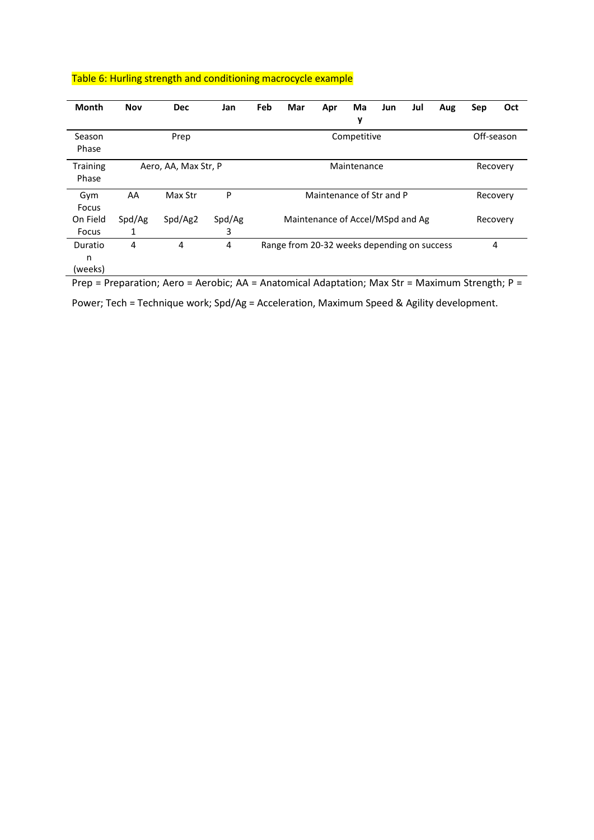| Table 6: Hurling strength and conditioning macrocycle example |  |  |
|---------------------------------------------------------------|--|--|
|                                                               |  |  |

| <b>Month</b>             | <b>Nov</b>          | <b>Dec</b>           | Jan         | Feb                              | Mar                                         | Apr                      | Ma          | Jun        | Jul      | Aug | Sep | Oct      |  |
|--------------------------|---------------------|----------------------|-------------|----------------------------------|---------------------------------------------|--------------------------|-------------|------------|----------|-----|-----|----------|--|
|                          |                     |                      |             |                                  |                                             |                          | у           |            |          |     |     |          |  |
| Season<br>Phase          | Competitive<br>Prep |                      |             |                                  |                                             |                          |             | Off-season |          |     |     |          |  |
| <b>Training</b><br>Phase |                     | Aero, AA, Max Str, P |             |                                  |                                             |                          | Maintenance |            |          |     |     | Recovery |  |
| Gym<br>Focus             | AA                  | Max Str              | P           |                                  |                                             | Maintenance of Str and P |             |            |          |     |     | Recovery |  |
| On Field<br>Focus        | Spd/Ag<br>1         | Spd/Ag2              | Spd/Ag<br>3 | Maintenance of Accel/MSpd and Ag |                                             |                          |             |            | Recovery |     |     |          |  |
| Duratio<br>n<br>(weeks)  | 4                   | 4                    | 4           |                                  | Range from 20-32 weeks depending on success |                          |             |            |          |     |     | 4        |  |

Prep = Preparation; Aero = Aerobic; AA = Anatomical Adaptation; Max Str = Maximum Strength; P =

Power; Tech = Technique work; Spd/Ag = Acceleration, Maximum Speed & Agility development.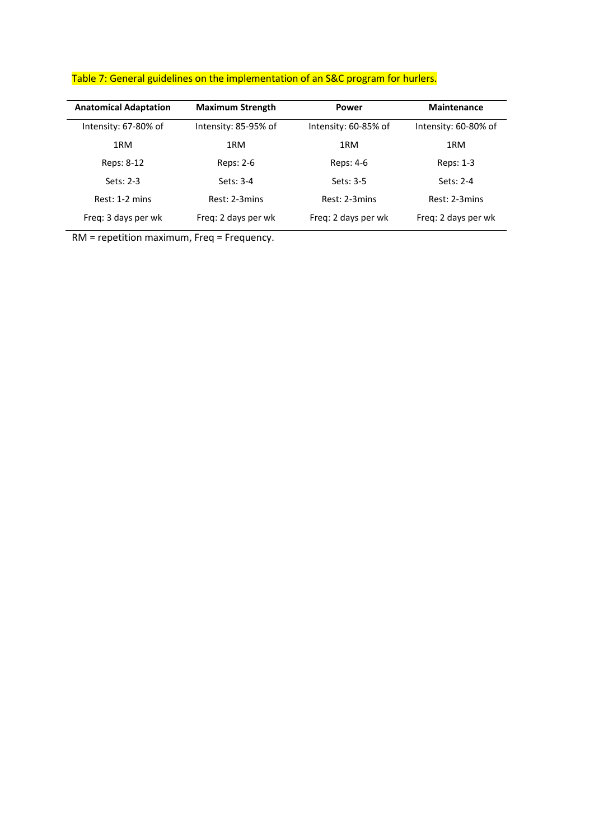| <b>Anatomical Adaptation</b> | <b>Maximum Strength</b> | Power                | <b>Maintenance</b>   |  |
|------------------------------|-------------------------|----------------------|----------------------|--|
| Intensity: 67-80% of         | Intensity: 85-95% of    | Intensity: 60-85% of | Intensity: 60-80% of |  |
| 1RM                          | 1RM                     | 1RM                  | 1RM                  |  |
| Reps: 8-12                   | Reps: 2-6               | Reps: 4-6            | Reps: 1-3            |  |
| Sets: $2-3$                  | $Sets: 3-4$             | Sets: 3-5            | Sets: 2-4            |  |
| Rest: 1-2 mins               | Rest: 2-3mins           | Rest: 2-3mins        | Rest: 2-3mins        |  |
| Freg: 3 days per wk          | Freg: 2 days per wk     | Freq: 2 days per wk  | Freq: 2 days per wk  |  |

## Table 7: General guidelines on the implementation of an S&C program for hurlers.

RM = repetition maximum, Freq = Frequency.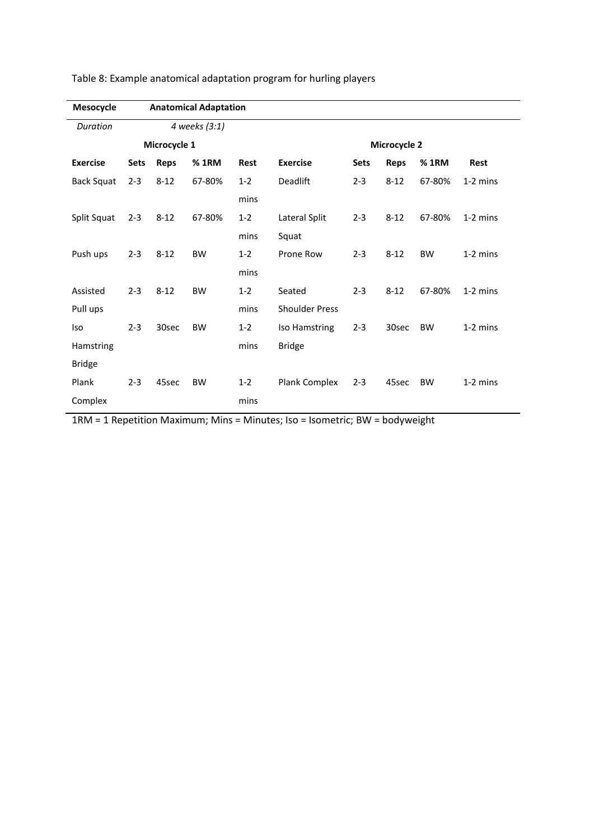| Mesocycle         |               |                              | <b>Anatomical Adaptation</b> |         |                       |             |             |           |            |
|-------------------|---------------|------------------------------|------------------------------|---------|-----------------------|-------------|-------------|-----------|------------|
| Duration          | 4 weeks (3:1) |                              |                              |         |                       |             |             |           |            |
|                   |               | Microcycle 1<br>Microcycle 2 |                              |         |                       |             |             |           |            |
| <b>Exercise</b>   | <b>Sets</b>   | <b>Reps</b>                  | % 1RM                        | Rest    | <b>Exercise</b>       | <b>Sets</b> | <b>Reps</b> | %1RM      | Rest       |
| <b>Back Squat</b> | $2 - 3$       | $8 - 12$                     | 67-80%                       | $1 - 2$ | <b>Deadlift</b>       | $2 - 3$     | $8 - 12$    | 67-80%    | $1-2$ mins |
|                   |               |                              |                              | mins    |                       |             |             |           |            |
| Split Squat       | $2 - 3$       | $8 - 12$                     | 67-80%                       | $1 - 2$ | Lateral Split         | $2 - 3$     | $8 - 12$    | 67-80%    | 1-2 mins   |
|                   |               |                              |                              | mins    | Squat                 |             |             |           |            |
| Push ups          | $2 - 3$       | $8 - 12$                     | <b>BW</b>                    | $1 - 2$ | Prone Row             | $2 - 3$     | $8 - 12$    | <b>BW</b> | $1-2$ mins |
|                   |               |                              |                              | mins    |                       |             |             |           |            |
| Assisted          | $2 - 3$       | $8 - 12$                     | <b>BW</b>                    | $1 - 2$ | Seated                | $2 - 3$     | $8 - 12$    | 67-80%    | $1-2$ mins |
| Pull ups          |               |                              |                              | mins    | <b>Shoulder Press</b> |             |             |           |            |
| <b>Iso</b>        | $2 - 3$       | 30sec                        | <b>BW</b>                    | $1 - 2$ | Iso Hamstring         | $2 - 3$     | 30sec       | <b>BW</b> | $1-2$ mins |
| Hamstring         |               |                              |                              | mins    | <b>Bridge</b>         |             |             |           |            |
| <b>Bridge</b>     |               |                              |                              |         |                       |             |             |           |            |
| Plank             | $2 - 3$       | 45sec                        | <b>BW</b>                    | $1 - 2$ | Plank Complex         | $2 - 3$     | 45sec       | <b>BW</b> | $1-2$ mins |
| Complex           |               |                              |                              | mins    |                       |             |             |           |            |

Table 8: Example anatomical adaptation program for hurling players

1RM = 1 Repetition Maximum; Mins = Minutes; Iso = Isometric; BW = bodyweight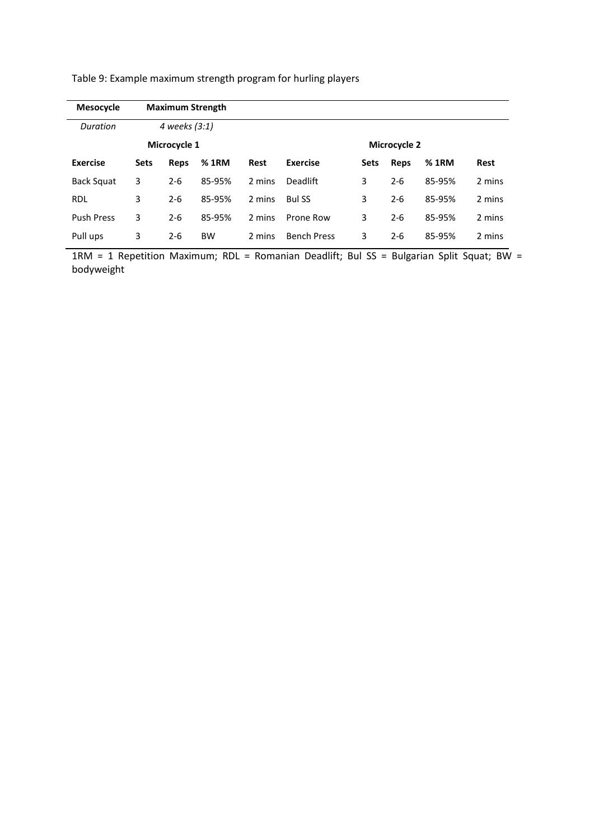| <b>Mesocycle</b>  |             |               | <b>Maximum Strength</b> |                     |                    |             |         |        |             |
|-------------------|-------------|---------------|-------------------------|---------------------|--------------------|-------------|---------|--------|-------------|
| Duration          |             | 4 weeks (3:1) |                         |                     |                    |             |         |        |             |
|                   |             | Microcycle 1  |                         | <b>Microcycle 2</b> |                    |             |         |        |             |
| <b>Exercise</b>   | <b>Sets</b> | Reps          | % 1RM                   | Rest                | <b>Exercise</b>    | <b>Sets</b> | Reps    | %1RM   | <b>Rest</b> |
| Back Squat        | 3           | $2 - 6$       | 85-95%                  | 2 mins              | <b>Deadlift</b>    | 3           | $2 - 6$ | 85-95% | 2 mins      |
| <b>RDL</b>        | 3           | $2 - 6$       | 85-95%                  | 2 mins              | <b>Bul SS</b>      | 3           | $2 - 6$ | 85-95% | 2 mins      |
| <b>Push Press</b> | 3           | $2 - 6$       | 85-95%                  | 2 mins              | Prone Row          | 3           | $2 - 6$ | 85-95% | 2 mins      |
| Pull ups          | 3           | $2 - 6$       | <b>BW</b>               | 2 mins              | <b>Bench Press</b> | 3           | $2 - 6$ | 85-95% | 2 mins      |

Table 9: Example maximum strength program for hurling players

1RM = 1 Repetition Maximum; RDL = Romanian Deadlift; Bul SS = Bulgarian Split Squat; BW = bodyweight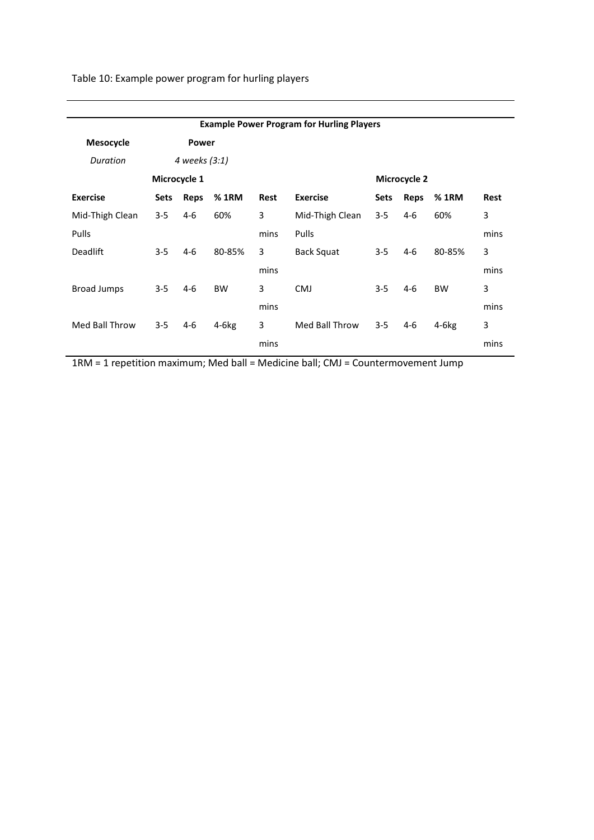Table 10: Example power program for hurling players

|                    |             |               |           |      | <b>Example Power Program for Hurling Players</b> |             |              |           |             |
|--------------------|-------------|---------------|-----------|------|--------------------------------------------------|-------------|--------------|-----------|-------------|
| Mesocycle          |             | <b>Power</b>  |           |      |                                                  |             |              |           |             |
| Duration           |             | 4 weeks (3:1) |           |      |                                                  |             |              |           |             |
|                    |             | Microcycle 1  |           |      |                                                  |             | Microcycle 2 |           |             |
| <b>Exercise</b>    | <b>Sets</b> | <b>Reps</b>   | % 1RM     | Rest | <b>Exercise</b>                                  | <b>Sets</b> | Reps         | %1RM      | <b>Rest</b> |
| Mid-Thigh Clean    | $3 - 5$     | $4-6$         | 60%       | 3    | Mid-Thigh Clean                                  | $3 - 5$     | $4-6$        | 60%       | 3           |
| Pulls              |             |               |           | mins | <b>Pulls</b>                                     |             |              |           | mins        |
| <b>Deadlift</b>    | $3 - 5$     | $4-6$         | 80-85%    | 3    | Back Squat                                       | $3 - 5$     | $4-6$        | 80-85%    | 3           |
|                    |             |               |           | mins |                                                  |             |              |           | mins        |
| <b>Broad Jumps</b> | $3 - 5$     | $4-6$         | <b>BW</b> | 3    | <b>CMJ</b>                                       | $3 - 5$     | $4-6$        | <b>BW</b> | 3           |
|                    |             |               |           | mins |                                                  |             |              |           | mins        |
| Med Ball Throw     | $3 - 5$     | $4-6$         | $4-6kg$   | 3    | Med Ball Throw                                   | $3 - 5$     | 4-6          | $4-6kg$   | 3           |
|                    |             |               |           | mins |                                                  |             |              |           | mins        |

1RM = 1 repetition maximum; Med ball = Medicine ball; CMJ = Countermovement Jump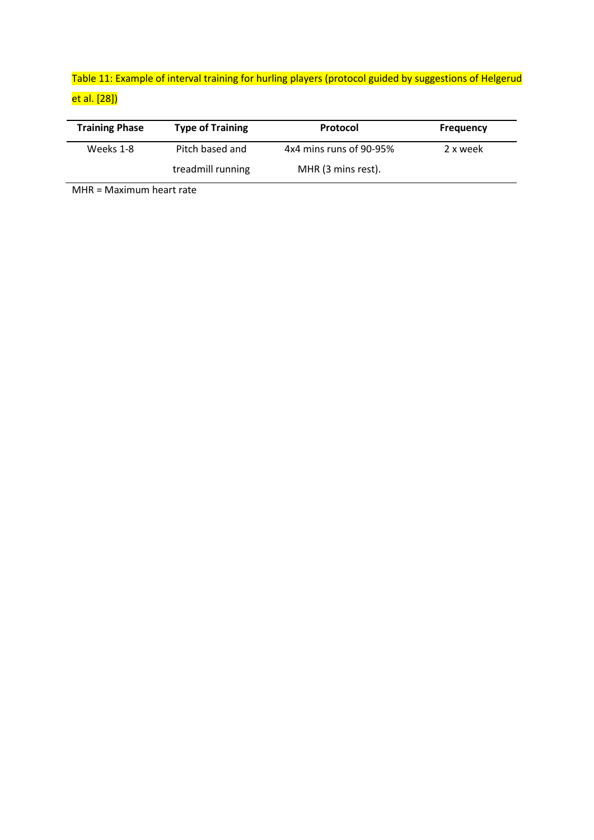## Table 11: Example of interval training for hurling players (protocol guided by suggestions of Helgerud et al. [28])

| <b>Training Phase</b> | <b>Type of Training</b> | Protocol                | <b>Frequency</b> |
|-----------------------|-------------------------|-------------------------|------------------|
| Weeks 1-8             | Pitch based and         | 4x4 mins runs of 90-95% | 2 x week         |
|                       | treadmill running       | MHR (3 mins rest).      |                  |

MHR = Maximum heart rate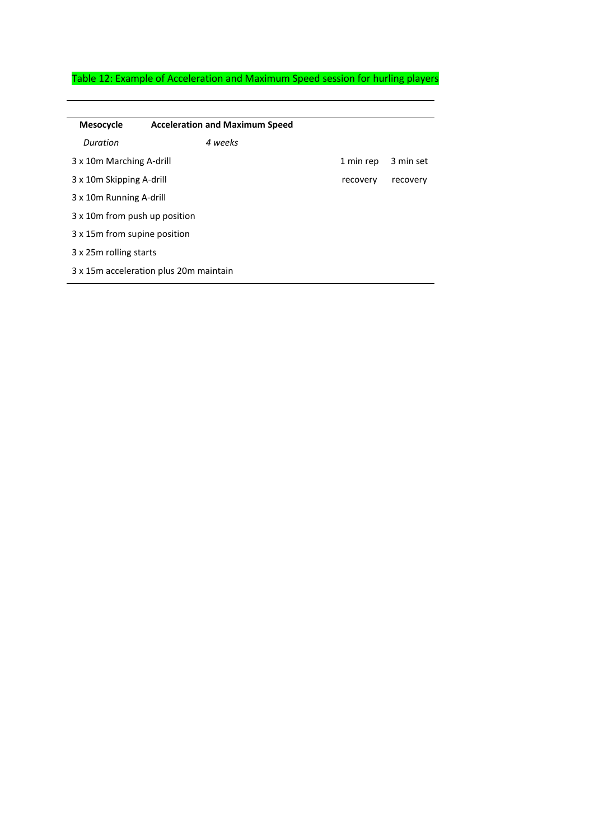## Table 12: Example of Acceleration and Maximum Speed session for hurling players

| Mesocycle                              | <b>Acceleration and Maximum Speed</b> |           |           |
|----------------------------------------|---------------------------------------|-----------|-----------|
| Duration                               | 4 weeks                               |           |           |
| 3 x 10m Marching A-drill               |                                       | 1 min rep | 3 min set |
| 3 x 10m Skipping A-drill               |                                       | recovery  | recovery  |
| 3 x 10 m Running A-drill               |                                       |           |           |
| 3 x 10 m from push up position         |                                       |           |           |
| 3 x 15m from supine position           |                                       |           |           |
| 3 x 25m rolling starts                 |                                       |           |           |
| 3 x 15m acceleration plus 20m maintain |                                       |           |           |